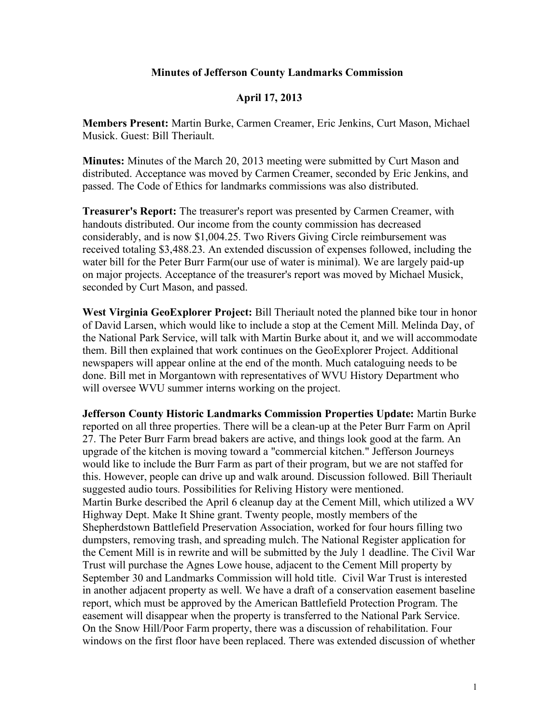## **Minutes of Jefferson County Landmarks Commission**

## **April 17, 2013**

**Members Present:** Martin Burke, Carmen Creamer, Eric Jenkins, Curt Mason, Michael Musick. Guest: Bill Theriault.

**Minutes:** Minutes of the March 20, 2013 meeting were submitted by Curt Mason and distributed. Acceptance was moved by Carmen Creamer, seconded by Eric Jenkins, and passed. The Code of Ethics for landmarks commissions was also distributed.

**Treasurer's Report:** The treasurer's report was presented by Carmen Creamer, with handouts distributed. Our income from the county commission has decreased considerably, and is now \$1,004.25. Two Rivers Giving Circle reimbursement was received totaling \$3,488.23. An extended discussion of expenses followed, including the water bill for the Peter Burr Farm(our use of water is minimal). We are largely paid-up on major projects. Acceptance of the treasurer's report was moved by Michael Musick, seconded by Curt Mason, and passed.

**West Virginia GeoExplorer Project:** Bill Theriault noted the planned bike tour in honor of David Larsen, which would like to include a stop at the Cement Mill. Melinda Day, of the National Park Service, will talk with Martin Burke about it, and we will accommodate them. Bill then explained that work continues on the GeoExplorer Project. Additional newspapers will appear online at the end of the month. Much cataloguing needs to be done. Bill met in Morgantown with representatives of WVU History Department who will oversee WVU summer interns working on the project.

**Jefferson County Historic Landmarks Commission Properties Update:** Martin Burke reported on all three properties. There will be a clean-up at the Peter Burr Farm on April 27. The Peter Burr Farm bread bakers are active, and things look good at the farm. An upgrade of the kitchen is moving toward a "commercial kitchen." Jefferson Journeys would like to include the Burr Farm as part of their program, but we are not staffed for this. However, people can drive up and walk around. Discussion followed. Bill Theriault suggested audio tours. Possibilities for Reliving History were mentioned. Martin Burke described the April 6 cleanup day at the Cement Mill, which utilized a WV Highway Dept. Make It Shine grant. Twenty people, mostly members of the Shepherdstown Battlefield Preservation Association, worked for four hours filling two dumpsters, removing trash, and spreading mulch. The National Register application for the Cement Mill is in rewrite and will be submitted by the July 1 deadline. The Civil War Trust will purchase the Agnes Lowe house, adjacent to the Cement Mill property by September 30 and Landmarks Commission will hold title. Civil War Trust is interested in another adjacent property as well. We have a draft of a conservation easement baseline report, which must be approved by the American Battlefield Protection Program. The easement will disappear when the property is transferred to the National Park Service. On the Snow Hill/Poor Farm property, there was a discussion of rehabilitation. Four windows on the first floor have been replaced. There was extended discussion of whether